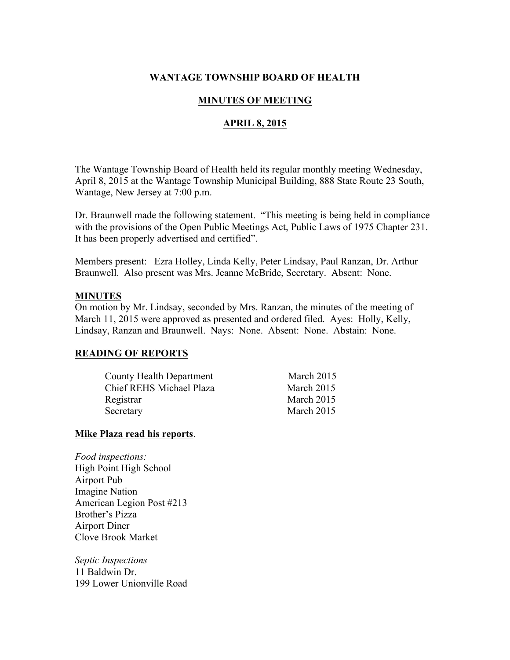# WANTAGE TOWNSHIP BOARD OF HEALTH

## MINUTES OF MEETING

## APRIL 8, 2015

The Wantage Township Board of Health held its regular monthly meeting Wednesday, April 8, 2015 at the Wantage Township Municipal Building, 888 State Route 23 South, Wantage, New Jersey at 7:00 p.m.

Dr. Braunwell made the following statement. "This meeting is being held in compliance with the provisions of the Open Public Meetings Act, Public Laws of 1975 Chapter 231. It has been properly advertised and certified".

Members present: Ezra Holley, Linda Kelly, Peter Lindsay, Paul Ranzan, Dr. Arthur Braunwell. Also present was Mrs. Jeanne McBride, Secretary. Absent: None.

### MINUTES

On motion by Mr. Lindsay, seconded by Mrs. Ranzan, the minutes of the meeting of March 11, 2015 were approved as presented and ordered filed. Ayes: Holly, Kelly, Lindsay, Ranzan and Braunwell. Nays: None. Absent: None. Abstain: None.

### READING OF REPORTS

| <b>County Health Department</b> | March 2015 |
|---------------------------------|------------|
| Chief REHS Michael Plaza        | March 2015 |
| Registrar                       | March 2015 |
| Secretary                       | March 2015 |

### Mike Plaza read his reports.

*Food inspections:* High Point High School Airport Pub Imagine Nation American Legion Post #213 Brother's Pizza Airport Diner Clove Brook Market

*Septic Inspections* 11 Baldwin Dr. 199 Lower Unionville Road